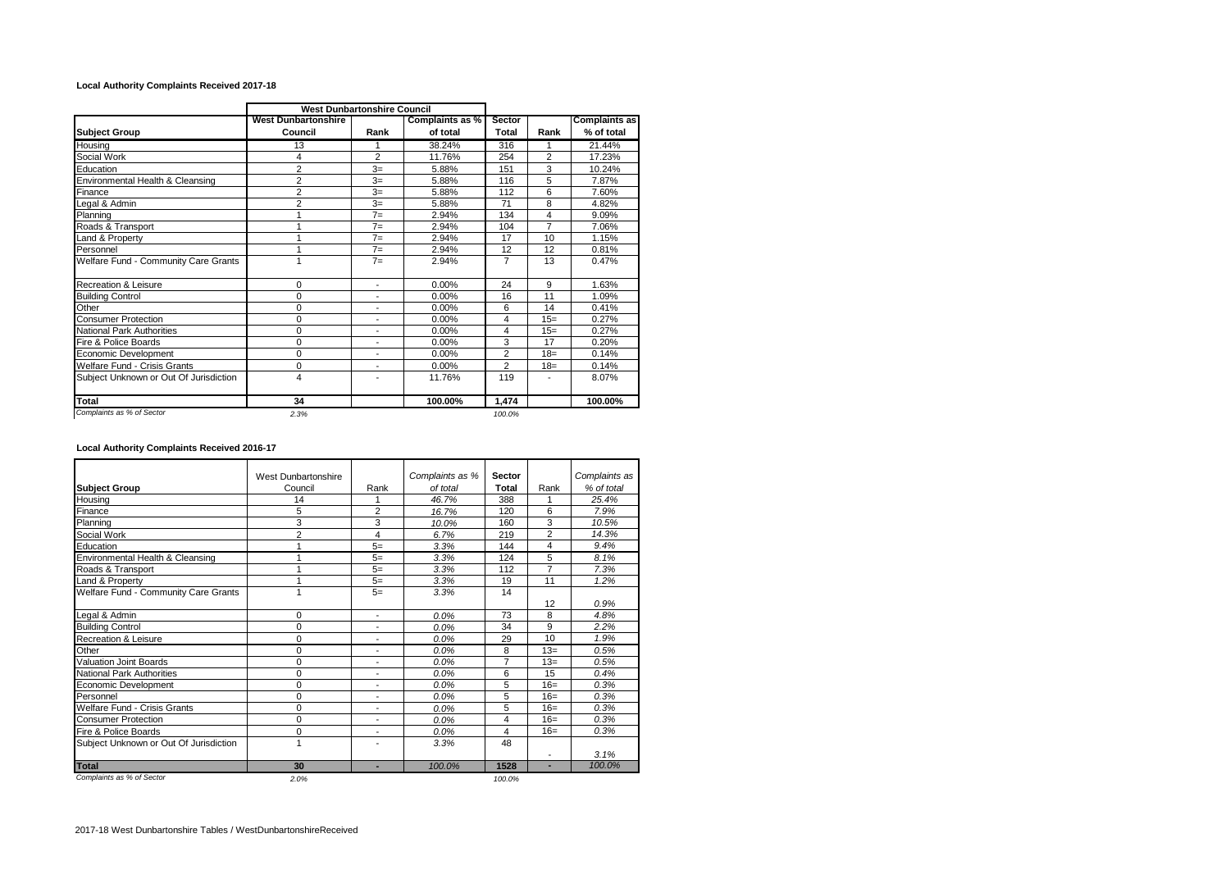## **Local Authority Complaints Received 2017-18**

| <b>West Dunbartonshire</b><br>Council<br>13<br>4<br>$\overline{2}$<br>$\overline{2}$<br>$\overline{2}$<br>$\overline{2}$<br>1 | Rank<br>1<br>$\overline{2}$<br>$3=$<br>$3=$<br>$3=$<br>$3=$ | Complaints as %<br>of total<br>38.24%<br>11.76%<br>5.88%<br>5.88%<br>5.88% | Sector<br>Total<br>316<br>254<br>151<br>116 | Rank<br>$\overline{2}$<br>3 | <b>Complaints as</b><br>% of total<br>21.44%<br>17.23%<br>10.24% |
|-------------------------------------------------------------------------------------------------------------------------------|-------------------------------------------------------------|----------------------------------------------------------------------------|---------------------------------------------|-----------------------------|------------------------------------------------------------------|
|                                                                                                                               |                                                             |                                                                            |                                             |                             |                                                                  |
|                                                                                                                               |                                                             |                                                                            |                                             |                             |                                                                  |
|                                                                                                                               |                                                             |                                                                            |                                             |                             |                                                                  |
|                                                                                                                               |                                                             |                                                                            |                                             |                             |                                                                  |
|                                                                                                                               |                                                             |                                                                            |                                             | 5                           | 7.87%                                                            |
|                                                                                                                               |                                                             |                                                                            | 112                                         | 6                           | 7.60%                                                            |
|                                                                                                                               |                                                             | 5.88%                                                                      | 71                                          | 8                           | 4.82%                                                            |
|                                                                                                                               | $7=$                                                        | 2.94%                                                                      | 134                                         | 4                           | 9.09%                                                            |
|                                                                                                                               | $7=$                                                        | 2.94%                                                                      | 104                                         | 7                           | 7.06%                                                            |
|                                                                                                                               | $7=$                                                        | 2.94%                                                                      | 17                                          | 10                          | 1.15%                                                            |
|                                                                                                                               | $7 =$                                                       | 2.94%                                                                      | 12                                          | 12                          | 0.81%                                                            |
|                                                                                                                               | $7=$                                                        | 2.94%                                                                      | 7                                           | 13                          | 0.47%                                                            |
| 0                                                                                                                             | $\blacksquare$                                              | 0.00%                                                                      | 24                                          | 9                           | 1.63%                                                            |
| 0                                                                                                                             | $\overline{a}$                                              | 0.00%                                                                      | 16                                          | 11                          | 1.09%                                                            |
| 0                                                                                                                             | $\blacksquare$                                              | 0.00%                                                                      | 6                                           | 14                          | 0.41%                                                            |
| 0                                                                                                                             | ٠                                                           | 0.00%                                                                      | 4                                           | $15=$                       | 0.27%                                                            |
| 0                                                                                                                             | $\blacksquare$                                              | 0.00%                                                                      | 4                                           | $15=$                       | 0.27%                                                            |
| $\Omega$                                                                                                                      | $\overline{\phantom{a}}$                                    | 0.00%                                                                      | 3                                           | 17                          | 0.20%                                                            |
| 0                                                                                                                             | $\blacksquare$                                              | 0.00%                                                                      | $\overline{2}$                              | $18 =$                      | 0.14%                                                            |
| 0                                                                                                                             | $\blacksquare$                                              | 0.00%                                                                      | $\overline{2}$                              | $18=$                       | 0.14%                                                            |
| 4                                                                                                                             |                                                             | 11.76%                                                                     | 119                                         |                             | 8.07%                                                            |
| 34                                                                                                                            |                                                             | 100.00%                                                                    | 1.474                                       |                             | 100.00%                                                          |
|                                                                                                                               | 2.3%                                                        |                                                                            |                                             | 100.0%                      |                                                                  |

## **Local Authority Complaints Received 2016-17**

|                                        |                     |                          |                 | <b>Sector</b>  |                |               |  |
|----------------------------------------|---------------------|--------------------------|-----------------|----------------|----------------|---------------|--|
|                                        | West Dunbartonshire |                          | Complaints as % |                |                | Complaints as |  |
| <b>Subject Group</b>                   | Council             | Rank                     | of total        | <b>Total</b>   | Rank           | % of total    |  |
| Housina                                | 14                  | 1                        | 46.7%           | 388            | 1              | 25.4%         |  |
| Finance                                | 5                   | $\overline{2}$           | 16.7%           | 120            | 6              | 7.9%          |  |
| Planning                               | 3                   | 3                        | 10.0%           | 160            | 3              | 10.5%         |  |
| Social Work                            | $\overline{2}$      | 4                        | 6.7%            | 219            | $\overline{2}$ | 14.3%         |  |
| Education                              |                     | $5=$                     | 3.3%            | 144            | 4              | 9.4%          |  |
| Environmental Health & Cleansing       |                     | $5=$                     | 3.3%            | 124            | 5              | 8.1%          |  |
| Roads & Transport                      |                     | $5=$                     | 3.3%            | 112            | $\overline{7}$ | 7.3%          |  |
| Land & Property                        |                     | $5=$                     | 3.3%            | 19             | 11             | 1.2%          |  |
| Welfare Fund - Community Care Grants   |                     | $5=$                     | 3.3%            | 14             |                |               |  |
|                                        |                     |                          |                 |                | 12             | 0.9%          |  |
| Legal & Admin                          | 0                   | ٠                        | 0.0%            | 73             | 8              | 4.8%          |  |
| <b>Building Control</b>                | $\mathbf 0$         | $\blacksquare$           | 0.0%            | 34             | 9              | 2.2%          |  |
| Recreation & Leisure                   | 0                   |                          | 0.0%            | 29             | 10             | 1.9%          |  |
| Other                                  | $\mathbf 0$         | ٠                        | 0.0%            | 8              | $13=$          | 0.5%          |  |
| <b>Valuation Joint Boards</b>          | $\Omega$            | ٠                        | 0.0%            | $\overline{7}$ | $13=$          | 0.5%          |  |
| <b>National Park Authorities</b>       | $\mathbf 0$         | $\blacksquare$           | 0.0%            | 6              | 15             | 0.4%          |  |
| Economic Development                   | $\mathbf 0$         | ٠                        | 0.0%            | 5              | $16=$          | 0.3%          |  |
| Personnel                              | $\Omega$            | $\overline{a}$           | 0.0%            | 5              | $16=$          | 0.3%          |  |
| Welfare Fund - Crisis Grants           | 0                   | $\overline{\phantom{a}}$ | 0.0%            | 5              | $16=$          | 0.3%          |  |
| <b>Consumer Protection</b>             | 0                   | ٠                        | 0.0%            | 4              | $16=$          | 0.3%          |  |
| Fire & Police Boards                   | $\mathbf 0$         | ٠                        | 0.0%            | 4              | $16=$          | 0.3%          |  |
| Subject Unknown or Out Of Jurisdiction | 1                   | ٠                        | 3.3%            | 48             |                |               |  |
|                                        |                     |                          |                 |                |                | 3.1%          |  |
| <b>Total</b>                           | 30                  |                          | 100.0%          | 1528           |                | 100.0%        |  |
| Complaints as % of Sector              | 2.0%                |                          |                 | 100.0%         |                |               |  |